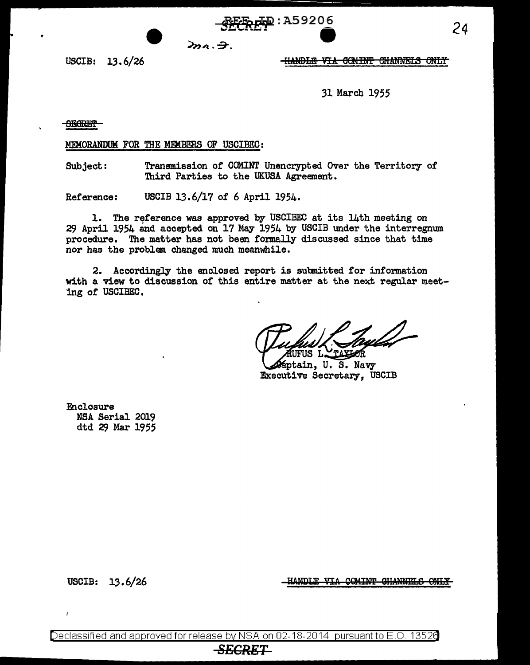$2n_1.7$ 

USCIB: 13. 6/26

#### <del>-HANDLE VIA COMINT CHANNELS ONLY</del>

31 March 1955

**SBORET** 

•

MEMORANDUM FOR THE MEMBERS OF USCIBEC:

Subject: Transmission of COMINT Unencrypted Over the Territory of Third Parties to the UKUSA Agreement.

 $R_{\rm F} = 1.59206$ 

Reference: USCIB 13.6/17 of 6 April 1954.

1. The reference was approved by USCIBEC at its 14th meeting on 29 April 1954 and accepted on 17 May 1954 by USCIB under the interregnum procedure. The matter has not been formally discussed since that time nor has the problem changed much meanwhile.

2. Accordingly the enclosed report is subnitted for information with a view to discussion of this entire matter at the next regular meeting or USCIBEC.

TAXIOR FUS L.

ptain, U. S. Navy Executive Secretary, USCIB

Enclosure NSA Serial 2019 dtd 29 Mar 1955

USCIB: 13.6/26

HANDLE VIA COMINT CHANNELS ONLY

Declassified and approved for release by NSA on 02-18-2014 pursuantto E .0. 1352a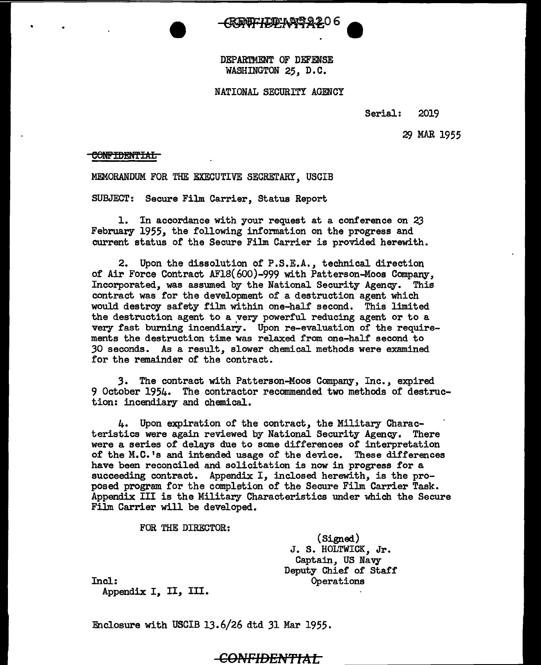DEPARTMENT OF DEFENSE WASHINGTON 25, D.C.

#### NATIONAL SECURITY AGENCY

Serial: 2019

29 MAR 1955

#### **CONFIDENTIAL**

MEMORANDUM FOR THE EXECUTIVE SECRErARY, USCIB

SUBJECT: Secure Film Carrier, Status Report

1. In accordance with your request at a conference on <sup>23</sup> February 1955, the following information on the progress and current status of the Secure Film Carrier is provided herewith.

2. Upon the dissolution of P.S.E.A., technical direction of Air Force Contract AF18(600)-999 with Patterson-Moos Company, Incorporated, was assumed by the National Security Agency. This contract was for the development of a destruction agent which would destroy safety film within one-half second. This limited the destruction agent to a yery powerful reducing agent or to a very fast burning incendiary. Upon re-evaluation of the requirements the destruction time was relaxed from one-half second to *30* seconds. As a result, slower chemical methods were examined for the remainder of the contract.

*3.* The contract with Patterson-Moos Company, Inc., expired 9 October 1954. The contractor recommended. two methods of destruction: incendiary and chemical.

4. Upon expiration of the contract, the Military Characteristics were again reviewed by National Security Agency. There were a series of delays due to some differences of interpretation of the M.C. 1s and intended usage of the device. These differences have been reconciled and solicitation is now in progress for a succeeding contract. Appendix I, inclosed herewith, is the proposed program for the completion of the Secure Film Carrier Task. Appendix III is the Military Characteristics under which the Secure Film Carrier will be developed.

FOR THE DIRECTOR:

(Signed) J. S. HOLTWICK, Jr. Captain, US Navy Deputy Chief of Staff Operations

Incl:

Appendix I, II, Ill.

Enclosure with USCIB 13.6/26 dtd 31 Mar 1955.

# **CONFIDEN'ftAL**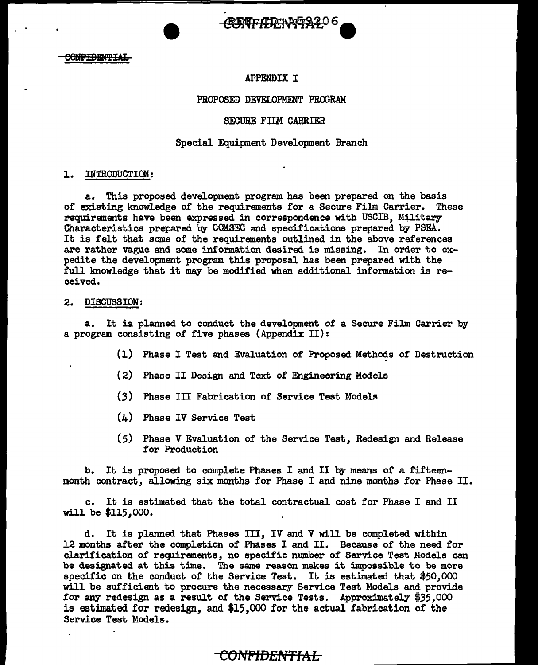**CONFIDENTIAL** 

### APPENDIX I

**MALHED YOUR** 

#### PROPOSED DEVELOPMENT PROGRAM

#### SECURE FIIM CARRIER

#### Special Equipment Development Branch

#### 1. INTRODUCTION:

a. This proposed development program has been prepared on the basis of existing knowledge of the requirements for a Secure Film Carrier. These requirements have been expressed in correspondence with USCIB, Military Characteristics prepared by CCMSEC and specifications prepared by PSEA. It is felt that some of the requirements outlined in the above references are rather vague and some information desired is missing. In order to expedite the development program this proposal has been prepared with the full knowledge that it may be modified when additional information is received.

#### 2. DISCUSSION:

a. It is planned to conduct the development of a Secure Film Carrier by a program consisting of five phases (Appendix II):

- (1) Phase I Test and Evaluation of Proposed Methods of Destruction
- (2) Phase II Design and Text of Engineering Models
- (3) Phase III Fabrication of Service Test Models
- (4) Phase IV Service Test
- ( 5) Phase V Evaluation of the Service Test, Redesign and Release for Production

b. It is proposed to complete Phases I and II by means of a fifteenmonth contract, allowing six months for Phase I and nine months for Phase II.

c. It is estimated that the total contractual cost for Phase I and II will be \$115,000.

d. It is planned that Phases III, IV and V will be completed within 12 months after the completion of Phases I and II. Because of the need for clarification of requirements, no specific number of Service Test Models can be designated at this time. The same reason makes it impossible to be more specific on the conduct of the Service Test. It is estimated that \$50,000 will be sufficient to procure the necessary Service Test Models and provide for any redesign as a result of the Service Tests. Approximately \$35,000 is estimated for redesign, and \$15,000 for the actual fabrication of the Service Test Models.

# <del>CONFIDENTIAL.</del>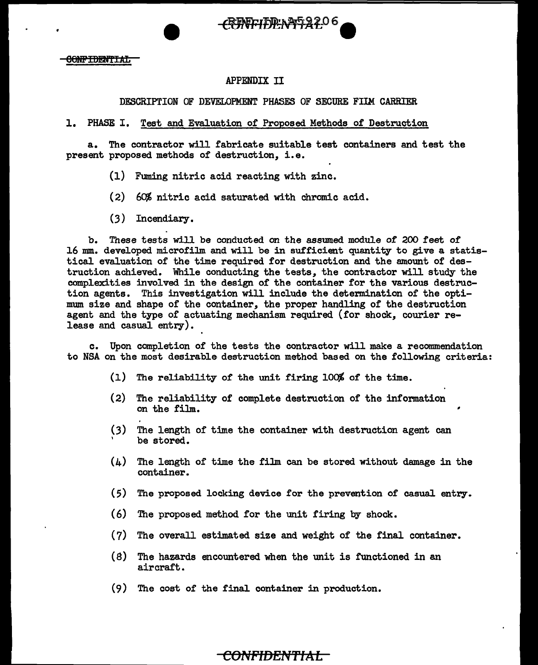*FEREFIRENT2206* 

# APPENDIX II

## DESCRIPTION OF DEVELOPMENT PHASES OF SECURE FIIM CARRIER

# 1. PHASE I. Test and Evaluation of Proposed Methods of Destruction

a. The contractor will fabricate suitable test containers and test the present proposed methods of destruction, i.e.

- (1) Fuming nitric acid reacting with zinc.
- ( 2) *6CJI,* nitric acid saturated with chromic acid.
- (3) Incendiary.

b. These tests will be conducted on the assumed module of 200 feet of 16 mm. developed microfilm and will be in sufficient quantity to give a statistical evaluation of the time required for destruction and the amount of destruction achieved. While conducting the tests, the contractor will study the complexities involved in the design of the container for the various destruction agents. This investigation will include the determination of the optimum size and shape of the container, the proper handling of the destruction agent and the type of actuating mechanism required (for shock, courier release and casual entry).

c. Upon completion of the tests the contractor will make a recommendation to NSA on the most desirable destruction method based on the following criteria:

- (1) The reliability of the unit firing 100% of the time.
- (2) The reliability of complete destruction of the information on the film. -
- (3) , The length of time the container with destruction agent can be stored.
- (4) The length of time the film can be stored without damage in the container.
- (5) The proposed locking device for the prevention of casual entry.
- (6) The proposed method for the unit firing by shock.
- (7) The overall estimated size and weight of the final container.
- (8) The hazards encountered when the unit is functioned in an aircraft.
- (9) The cost of the final container in production.

# CONFIDENTIAL **-**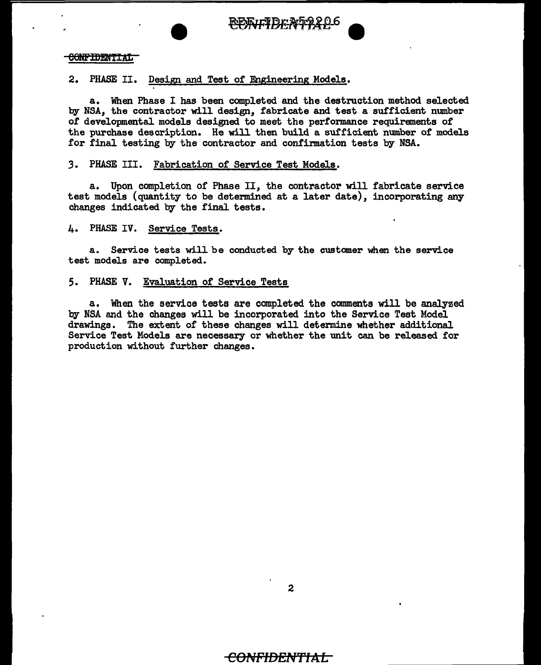

#### **CONFIDENTIAL**

### 2. PHASE II. Design and Test of Engineering Models.

a. When Phase I has been completed and the destruction method selected by NSA, the contractor will design, fabricate and test a sufficient number of developmental models designed to meet the performance requirements of the purchase description. He will then build a sufficient number of models for final testing by the contractor and confirmation tests by NSA.

#### *3.* PHASE III. Fabrication of Service Test Models.

a. Upon completion of Phase II, the contractor will fabricate service test models (quantity to be determined at a later date), incorporating any changes indicated by the final tests.

#### 4. PHASE IV. Service Tests.

a. Service tests will be conducted by the customer when the service test models are completed.

#### 5. PHASE V. Evaluation of Service Tests

a. When the service tests are completed the comments will be analyzed by NSA and the changes will be incorporated into the Service Test Model drawings. The extent of these changes will determine whether additional Service Test Models are necessary or whether the unit can be released for production without further changes.

# **COf\,tptDEN'ftAL**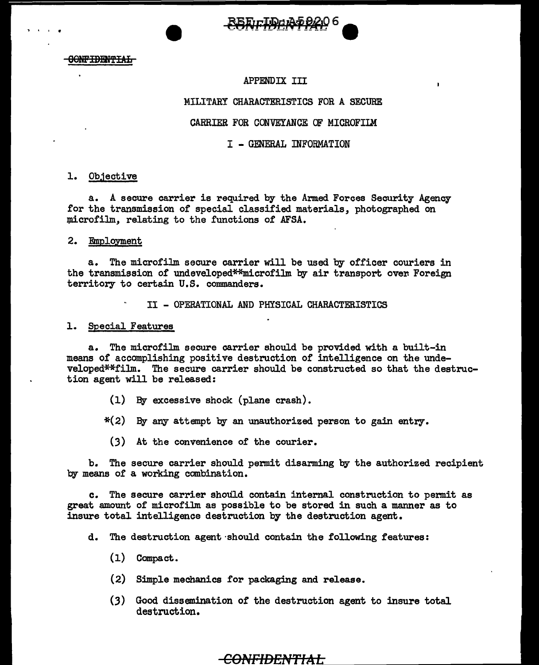

#### **CONFIDENTIAL**

' .

#### APPENDIX III

#### MILITARY CHARACTERISTICS FOR A SECURE

#### CARRIER FOR CONVEYANCE OF MICROFIIM

#### I - GENERAL INFORMATION

#### 1. Ob.1ective

a. A secure carrier is required by the Armed Forces Security Agency for the transmission of special classified materials, photographed on microfilm, relating to the functions of AFSA.

#### 2. Employment

a. The microfilm secure carrier will be used by officer couriers in the transmission of undeveloped\*\*microfilm by air transport over. Foreign territory to certain U.S. commanders.

II - OPERATIONAL AND PHYSICAL CHARACTERISTICS

#### 1. Special Features

a. The microfilm secure carrier should be provided with a built-in means of accomplishing positive destruction of intelligence on the undeveloped\*\*film. The secure carrier should be constructed so that the destruction agent will be released:

- (1) By excessive shock (plane crash).
- \*(2) By any attempt by an unauthorized person to gain entry.
	- (3) At the convenience of the courier.

b. The secure carrier should permit disarming by the authorized recipient by means of a working combination.

c. The secure carrier should contain internal construction to permit as great amount of microfilm as possible to be stored in such a manner as to insure total intelligence destruction by the destruction agent.

d. The destruction agent·should contain the following features:

- (1) Compact.
- (2) Simple mechanics for packaging and release.
- (3) Good dissemination of' the destruction agent to insure total destruction.